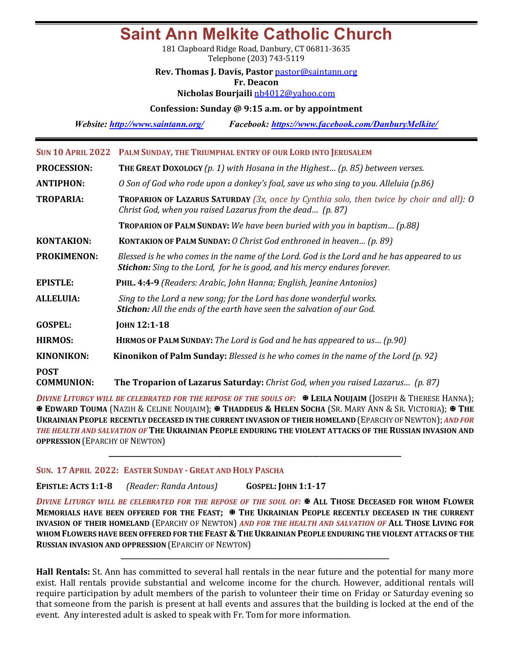# **Saint Ann Melkite Catholic Church**

181 Clapboard Ridge Road, Danbury, CT 06811-3635 Telephone (203) 743-5119

### **Rev. Thomas J. Davis, Pastor** pastor@saintann.org

**Fr. Deacon**

**Nicholas Bourjaili** nb4012@yahoo.com

### **Confession: Sunday @ 9:15 a.m. or by appointment**

*Website: http://www.saintann.org/ Facebook: https://www.facebook.com/DanburyMelkite/* 

|                                  | SUN 10 APRIL 2022 PALM SUNDAY, THE TRIUMPHAL ENTRY OF OUR LORD INTO JERUSALEM                                                                                                  |
|----------------------------------|--------------------------------------------------------------------------------------------------------------------------------------------------------------------------------|
| <b>PROCESSION:</b>               | <b>THE GREAT DOXOLOGY</b> (p. 1) with Hosana in the Highest (p. 85) between verses.                                                                                            |
| <b>ANTIPHON:</b>                 | O Son of God who rode upon a donkey's foal, save us who sing to you. Alleluia (p.86)                                                                                           |
| <b>TROPARIA:</b>                 | <b>TROPARION OF LAZARUS SATURDAY</b> (3x, once by Cynthia solo, then twice by choir and all): $O$<br>Christ God, when you raised Lazarus from the dead (p. 87)                 |
|                                  | <b>TROPARION OF PALM SUNDAY:</b> We have been buried with you in baptism (p.88)                                                                                                |
| <b>KONTAKION:</b>                | <b>KONTAKION OF PALM SUNDAY:</b> O Christ God enthroned in heaven $(p. 89)$                                                                                                    |
| <b>PROKIMENON:</b>               | Blessed is he who comes in the name of the Lord. God is the Lord and he has appeared to us<br><b>Stichon:</b> Sing to the Lord, for he is good, and his mercy endures forever. |
| <b>EPISTLE:</b>                  | PHIL. 4:4-9 (Readers: Arabic, John Hanna; English, Jeanine Antonios)                                                                                                           |
| <b>ALLELUIA:</b>                 | Sing to the Lord a new song; for the Lord has done wonderful works.<br><b>Stichon:</b> All the ends of the earth have seen the salvation of our God.                           |
| <b>GOSPEL:</b>                   | <b>JOHN 12:1-18</b>                                                                                                                                                            |
| <b>HIRMOS:</b>                   | <b>HIRMOS OF PALM SUNDAY:</b> The Lord is God and he has appeared to us $(p.90)$                                                                                               |
| <b>KINONIKON:</b>                | <b>Kinonikon of Palm Sunday:</b> Blessed is he who comes in the name of the Lord $(p. 92)$                                                                                     |
| <b>POST</b><br><b>COMMUNION:</b> | <b>The Troparion of Lazarus Saturday:</b> Christ God, when you raised Lazarus (p. 87)                                                                                          |

*DIVINE LITURGY WILL BE CELEBRATED FOR THE REPOSE OF THE SOULS OF:*  $\mathbb{F}$  **LEILA NOUJAIM** (JOSEPH & THERESE HANNA); **EDWARD TOUMA** (NAZIH & CELINE NOUJAIM); **X** THADDEUS & HELEN SOCHA (SR. MARY ANN & SR. VICTORIA); X THE **UKRAINIAN PEOPLE RECENTLY DECEASED IN THE CURRENT INVASION OF THEIR HOMELAND** (EPARCHY OF NEWTON); *AND FOR* THE HEALTH AND SALVATION OF THE UKRAINIAN PEOPLE ENDURING THE VIOLENT ATTACKS OF THE RUSSIAN INVASION AND **OPPRESSION** (EPARCHY OF NEWTON)

**\_\_\_\_\_\_\_\_\_\_\_\_\_\_\_\_\_\_\_\_\_\_\_\_\_\_\_\_\_\_\_\_\_\_\_\_\_\_\_\_\_\_\_\_\_\_\_\_\_\_\_\_\_\_\_\_\_\_\_\_\_\_\_\_\_\_\_\_\_\_\_\_\_\_\_\_\_\_\_**

SUN. 17 APRIL 2022: EASTER SUNDAY - GREAT AND HOLY PASCHA

**EPISTLE: ACTS 1:1-8** *(Reader: Randa Antous)*  **GOSPEL: JOHN 1:1-17**

*DIVINE LITURGY WILL BE CELEBRATED FOR THE REPOSE OF THE SOUL OF:* $\Phi$  **ALL THOSE DECEASED FOR WHOM FLOWER** MEMORIALS HAVE BEEN OFFERED FOR THE FEAST;  $\mathbb{\mathbb{R}}$  THE UKRAINIAN PEOPLE RECENTLY DECEASED IN THE CURRENT **INVASION OF THEIR HOMELAND** (EPARCHY OF NEWTON) *AND FOR THE HEALTH AND SALVATION OF* ALL THOSE LIVING FOR WHOM FLOWERS HAVE BEEN OFFERED FOR THE FEAST & THE UKRAINIAN PEOPLE ENDURING THE VIOLENT ATTACKS OF THE **RUSSIAN INVASION AND OPPRESSION (EPARCHY OF NEWTON)** 

**\_\_\_\_\_\_\_\_\_\_\_\_\_\_\_\_\_\_\_\_\_\_\_\_\_\_\_\_\_\_\_\_\_\_\_\_\_\_\_\_\_\_\_\_\_\_\_\_\_\_\_\_\_\_\_\_\_\_\_\_\_\_\_\_\_\_\_\_\_\_\_\_\_\_\_\_\_\_\_**

**Hall Rentals:** St. Ann has committed to several hall rentals in the near future and the potential for many more exist. Hall rentals provide substantial and welcome income for the church. However, additional rentals will require participation by adult members of the parish to volunteer their time on Friday or Saturday evening so that someone from the parish is present at hall events and assures that the building is locked at the end of the event. Any interested adult is asked to speak with Fr. Tom for more information.